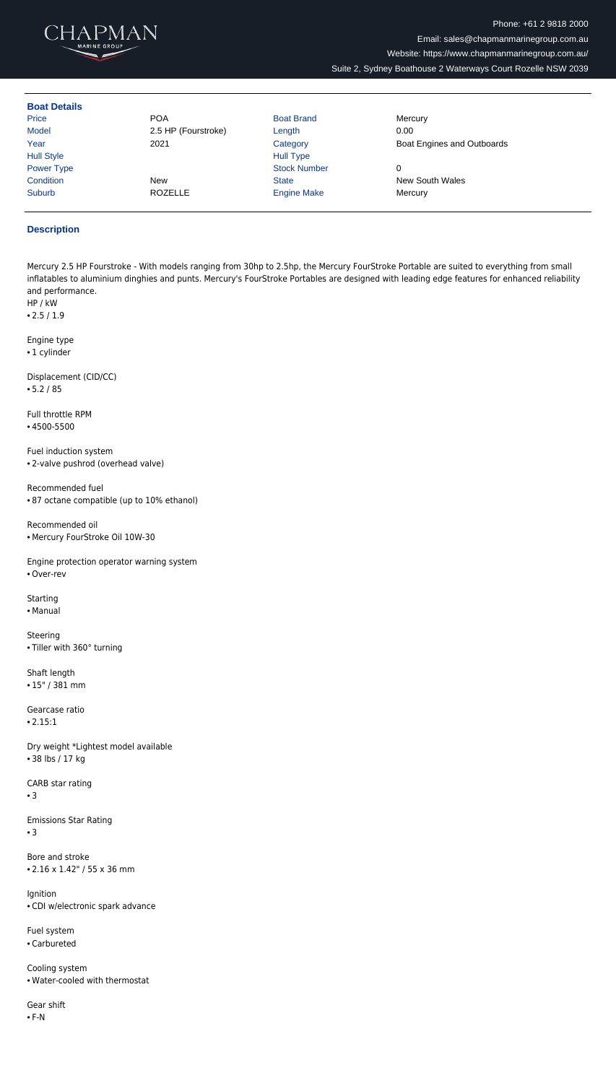

| <b>Boat Details</b> |                     |                     |                            |
|---------------------|---------------------|---------------------|----------------------------|
| Price               | <b>POA</b>          | <b>Boat Brand</b>   | Mercury                    |
| Model               | 2.5 HP (Fourstroke) | Length              | 0.00                       |
| Year                | 2021                | Category            | Boat Engines and Outboards |
| <b>Hull Style</b>   |                     | <b>Hull Type</b>    |                            |
| Power Type          |                     | <b>Stock Number</b> | 0                          |
| Condition           | <b>New</b>          | <b>State</b>        | <b>New South Wales</b>     |
| Suburb              | <b>ROZELLE</b>      | <b>Engine Make</b>  | Mercury                    |

## **Description**

Mercury 2.5 HP Fourstroke - With models ranging from 30hp to 2.5hp, the Mercury FourStroke Portable are suited to everything from small inflatables to aluminium dinghies and punts. Mercury's FourStroke Portables are designed with leading edge features for enhanced reliability and performance.

HP / kW

• 2.5 / 1.9

Engine type • 1 cylinder

Displacement (CID/CC) • 5.2 / 85

Full throttle RPM

• 4500-5500

Fuel induction system • 2-valve pushrod (overhead valve)

Recommended fuel

• 87 octane compatible (up to 10% ethanol)

Recommended oil

• Mercury FourStroke Oil 10W-30

Engine protection operator warning system

• Over-rev

**Starting** 

• Manual

Steering • Tiller with 360° turning

Shaft length • 15" / 381 mm

Gearcase ratio • 2.15:1

Dry weight \*Lightest model available • 38 lbs / 17 kg

CARB star rating

• 3

Emissions Star Rating

• 3

Bore and stroke • 2.16 x 1.42" / 55 x 36 mm

Ignition

• CDI w/electronic spark advance

Fuel system

• Carbureted

Cooling system • Water-cooled with thermostat

Gear shift

 $\bullet$  F-N